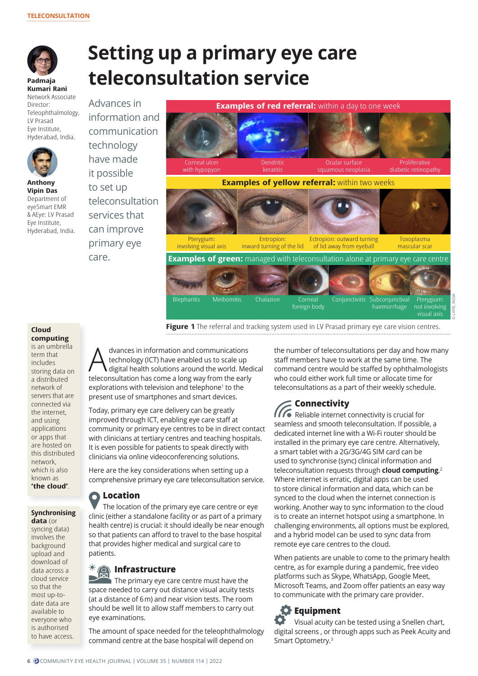

# **Setting up a primary eye care teleconsultation service**

**Padmaja Kumari Rani** Network Associate Director: Teleophthalmology, LV Prasad Eye Institute, Hyderabad, India.



**Anthony Vipin Das**  Department of eyeSmart EMR & AEye: LV Prasad Eye Institute, Hyderabad, India. information and communication technology have made it possible to set up teleconsultation services that can improve primary eye care.

Advances in



**Figure 1** The referral and tracking system used in LV Prasad primary eye care vision centres.

#### **Cloud computing** is an umbrella

term that includes storing data on a distributed network of servers that are connected via the internet, and using applications or apps that are hosted on this distributed network, which is also known as **'the cloud'**.

#### **Synchronising data** (or

syncing data) involves the background upload and download of data across a cloud service so that the most up-todate data are available to everyone who is authorised to have access.

dvances in information and communications<br>technology (ICT) have enabled us to scale up<br>digital health solutions around the world. Me technology (ICT) have enabled us to scale up digital health solutions around the world. Medical teleconsultation has come a long way from the early explorations with television and telephone<sup>1</sup> to the present use of smartphones and smart devices.

Today, primary eye care delivery can be greatly improved through ICT, enabling eye care staff at community or primary eye centres to be in direct contact with clinicians at tertiary centres and teaching hospitals. It is even possible for patients to speak directly with clinicians via online videoconferencing solutions.

Here are the key considerations when setting up a comprehensive primary eye care teleconsultation service.

#### **Location**   $\bullet$

The location of the primary eye care centre or eye clinic (either a standalone facility or as part of a primary health centre) is crucial: it should ideally be near enough so that patients can afford to travel to the base hospital that provides higher medical and surgical care to patients.

# **Infrastructure**

The primary eye care centre must have the space needed to carry out distance visual acuity tests (at a distance of 6 m) and near vision tests. The room should be well lit to allow staff members to carry out eye examinations.

The amount of space needed for the teleophthalmology command centre at the base hospital will depend on

the number of teleconsultations per day and how many staff members have to work at the same time. The command centre would be staffed by ophthalmologists who could either work full time or allocate time for teleconsultations as a part of their weekly schedule.

# **Connectivity**

IIT Reliable internet connectivity is crucial for seamless and smooth teleconsultation. If possible, a dedicated internet line with a Wi-Fi router should be installed in the primary eye care centre. Alternatively, a smart tablet with a 2G/3G/4G SIM card can be used to synchronise (sync) clinical information and teleconsultation requests through **cloud computing**. 2 Where internet is erratic, digital apps can be used to store clinical information and data, which can be synced to the cloud when the internet connection is working. Another way to sync information to the cloud is to create an internet hotspot using a smartphone. In challenging environments, all options must be explored, and a hybrid model can be used to sync data from remote eye care centres to the cloud.

When patients are unable to come to the primary health centre, as for example during a pandemic, free video platforms such as Skype, WhatsApp, Google Meet, Microsoft Teams, and Zoom offer patients an easy way to communicate with the primary care provider.

# **Equipment**

Visual acuity can be tested using a Snellen chart, digital screens , or through apps such as Peek Acuity and Smart Optometry.3